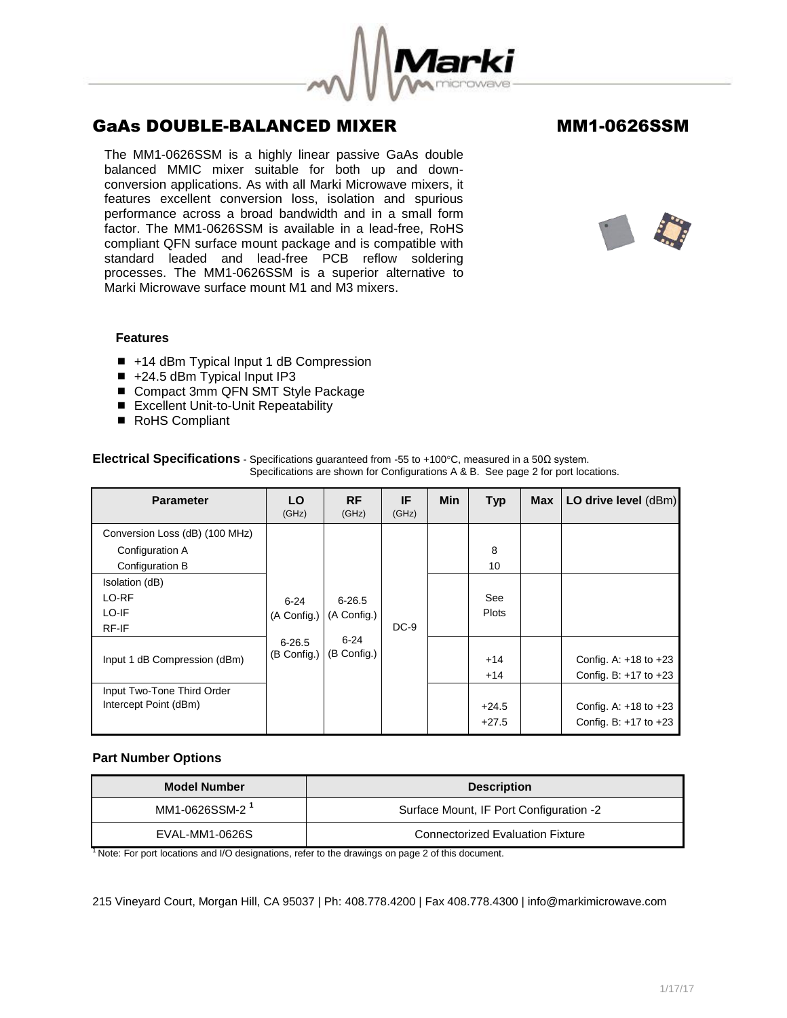

The MM1-0626SSM is a highly linear passive GaAs double balanced MMIC mixer suitable for both up and downconversion applications. As with all Marki Microwave mixers, it features excellent conversion loss, isolation and spurious performance across a broad bandwidth and in a small form factor. The MM1-0626SSM is available in a lead-free, RoHS compliant QFN surface mount package and is compatible with standard leaded and lead-free PCB reflow soldering processes. The MM1-0626SSM is a superior alternative to Marki Microwave surface mount M1 and M3 mixers.



## **Features**

- +14 dBm Typical Input 1 dB Compression
- $\blacksquare$  +24.5 dBm Typical Input IP3
- Compact 3mm QFN SMT Style Package
- Excellent Unit-to-Unit Repeatability
- RoHS Compliant

| <b>Parameter</b>               | LO<br>(GHz)               | <b>RF</b><br>(GHz) | IF<br>(GHz)             | <b>Min</b> | <b>Typ</b>   | <b>Max</b> | LO drive level (dBm)      |  |  |  |  |  |  |                |  |                                                    |
|--------------------------------|---------------------------|--------------------|-------------------------|------------|--------------|------------|---------------------------|--|--|--|--|--|--|----------------|--|----------------------------------------------------|
| Conversion Loss (dB) (100 MHz) |                           |                    |                         |            |              |            |                           |  |  |  |  |  |  |                |  |                                                    |
| Configuration A                |                           |                    |                         |            | 8            |            |                           |  |  |  |  |  |  |                |  |                                                    |
| Configuration B                |                           |                    |                         |            | 10           |            |                           |  |  |  |  |  |  |                |  |                                                    |
| Isolation (dB)                 |                           |                    |                         |            |              |            |                           |  |  |  |  |  |  |                |  |                                                    |
| LO-RF                          | $6 - 24$                  | $6 - 26.5$         |                         |            | See          |            |                           |  |  |  |  |  |  |                |  |                                                    |
| LO-IF                          | (A Config.)               | (A Config.)        |                         |            | <b>Plots</b> |            |                           |  |  |  |  |  |  |                |  |                                                    |
| RF-IF                          |                           |                    | $DC-9$                  |            |              |            |                           |  |  |  |  |  |  |                |  |                                                    |
| Input 1 dB Compression (dBm)   | $6 - 26.5$<br>(B Config.) |                    | $6 - 24$<br>(B Config.) |            |              |            |                           |  |  |  |  |  |  | $+14$<br>$+14$ |  | Config. A: $+18$ to $+23$<br>Config. B: +17 to +23 |
| Input Two-Tone Third Order     |                           |                    |                         |            |              |            |                           |  |  |  |  |  |  |                |  |                                                    |
| Intercept Point (dBm)          |                           |                    |                         |            | $+24.5$      |            | Config. A: $+18$ to $+23$ |  |  |  |  |  |  |                |  |                                                    |
|                                |                           |                    |                         |            | $+27.5$      |            | Config. B: $+17$ to $+23$ |  |  |  |  |  |  |                |  |                                                    |

## **Electrical Specifications** - Specifications quaranteed from -55 to +100°C, measured in a 50Ω system. Specifications are shown for Configurations A & B. See page 2 for port locations.

## **Part Number Options**

| <b>Model Number</b>        | <b>Description</b>                      |  |  |
|----------------------------|-----------------------------------------|--|--|
| MM1-0626SSM-2 <sup>1</sup> | Surface Mount, IF Port Configuration -2 |  |  |
| EVAL-MM1-0626S             | <b>Connectorized Evaluation Fixture</b> |  |  |

<sup>1</sup> Note: For port locations and I/O designations, refer to the drawings on page 2 of this document.

215 Vineyard Court, Morgan Hill, CA 95037 | Ph: 408.778.4200 | Fax 408.778.4300 | info@markimicrowave.com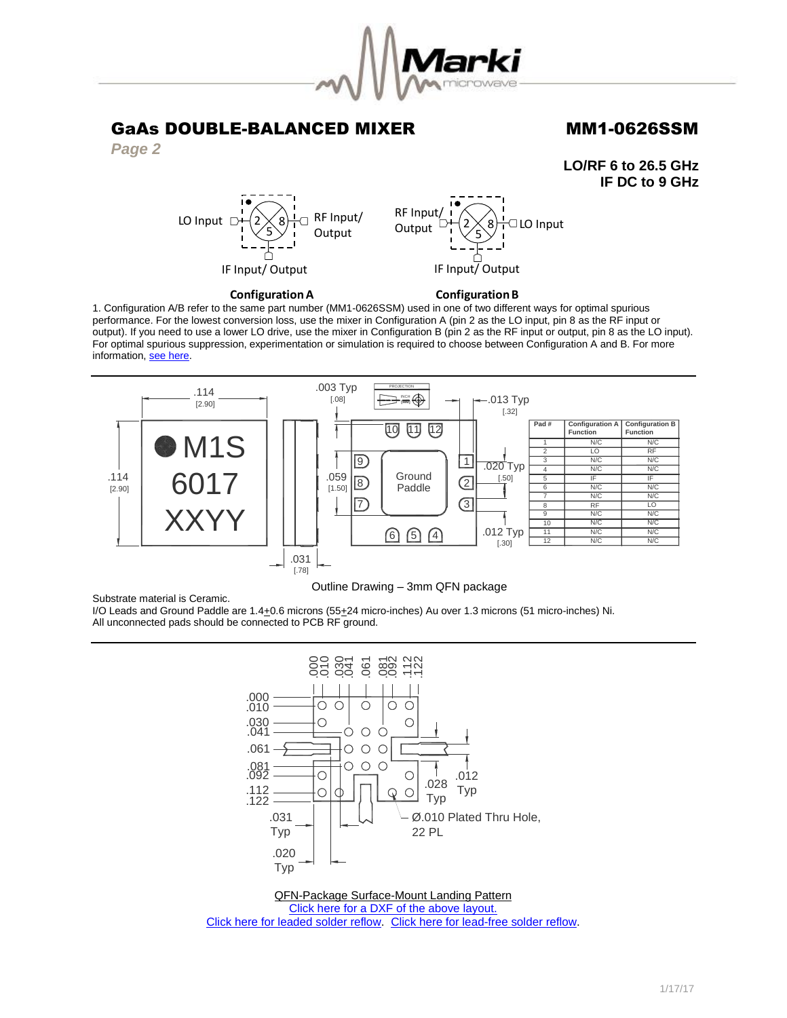

*Page 2*

**LO/RF 6 to 26.5 GHz IF DC to 9 GHz**



**Configuration A** 

**Configuration B** 

1. Configuration A/B refer to the same part number (MM1-0626SSM) used in one of two different ways for optimal spurious performance. For the lowest conversion loss, use the mixer in Configuration A (pin 2 as the LO input, pin 8 as the RF input or output). If you need to use a lower LO drive, use the mixer in Configuration B (pin 2 as the RF input or output, pin 8 as the LO input). For optimal spurious suppression, experimentation or simulation is required to choose between Configuration A and B. For more information, [see here.](http://www.markimicrowave.com/rf-microwave-qa/q/what-is-the-difference-between-configuration-a-and-configuration-b-on-mixers)



## Outline Drawing – 3mm QFN package

Substrate material is Ceramic.

I/O Leads and Ground Paddle are 1.4+0.6 microns (55+24 micro-inches) Au over 1.3 microns (51 micro-inches) Ni. All unconnected pads should be connected to PCB RF ground.



QFN-Package Surface-Mount Landing Pattern [Click here for a DXF of the above layout.](http://www.markimicrowave.com/menus/appnotes/qfn12l.zip) [Click here for leaded solder reflow.](http://www.markimicrowave.com/Assets/appnotes/reflow.pdf) [Click here for lead-free solder reflow.](http://www.markimicrowave.com/Assets/appnotes/reflow-lf.pdf)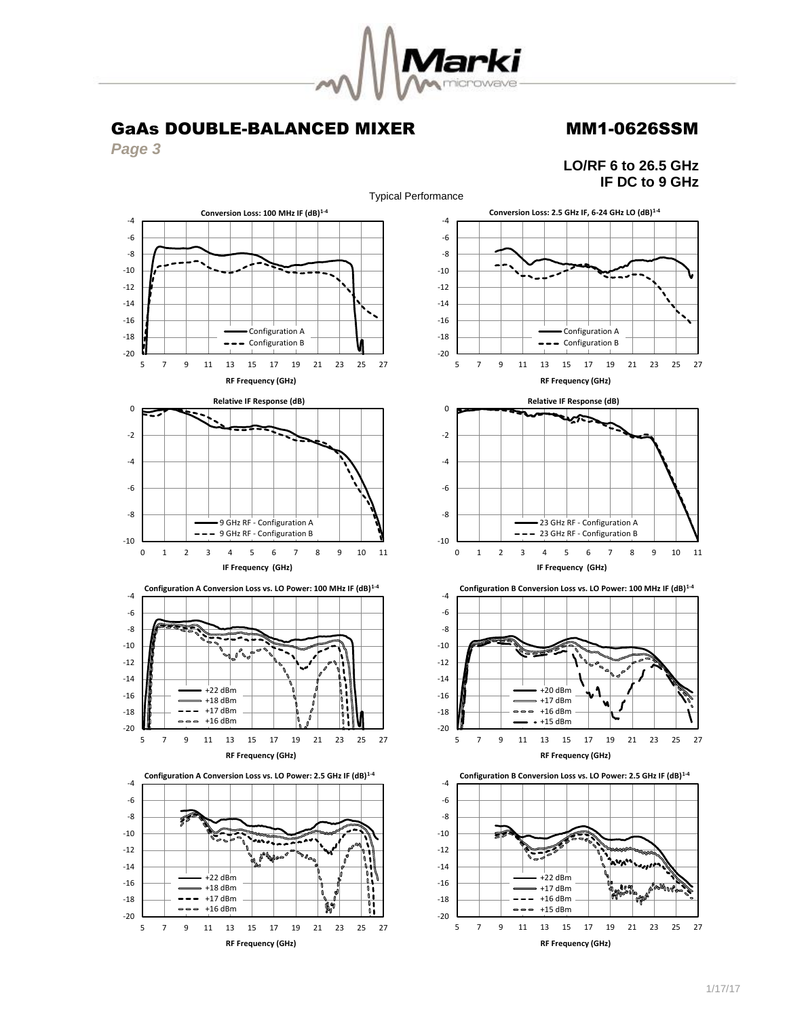

*Page 3*



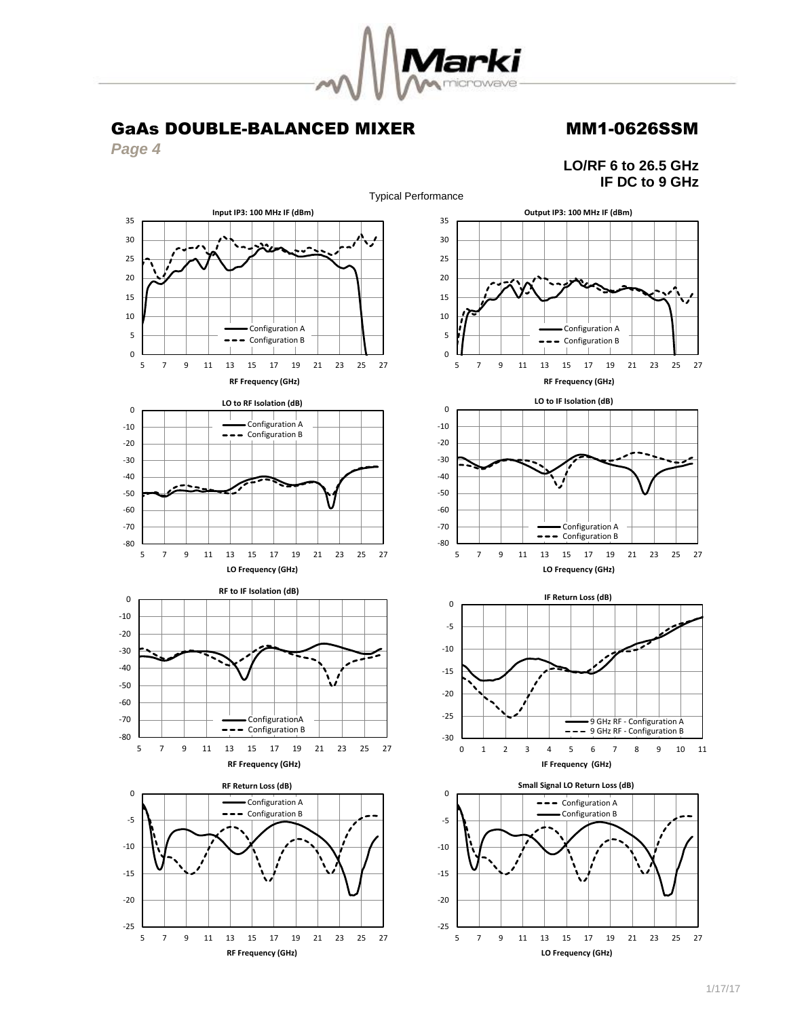

Typical Performance

GaAs DOUBLE-BALANCED MIXER MM1-0626SSM

**Input IP3: 100 MHz IF (dBm)**

*Page 4*



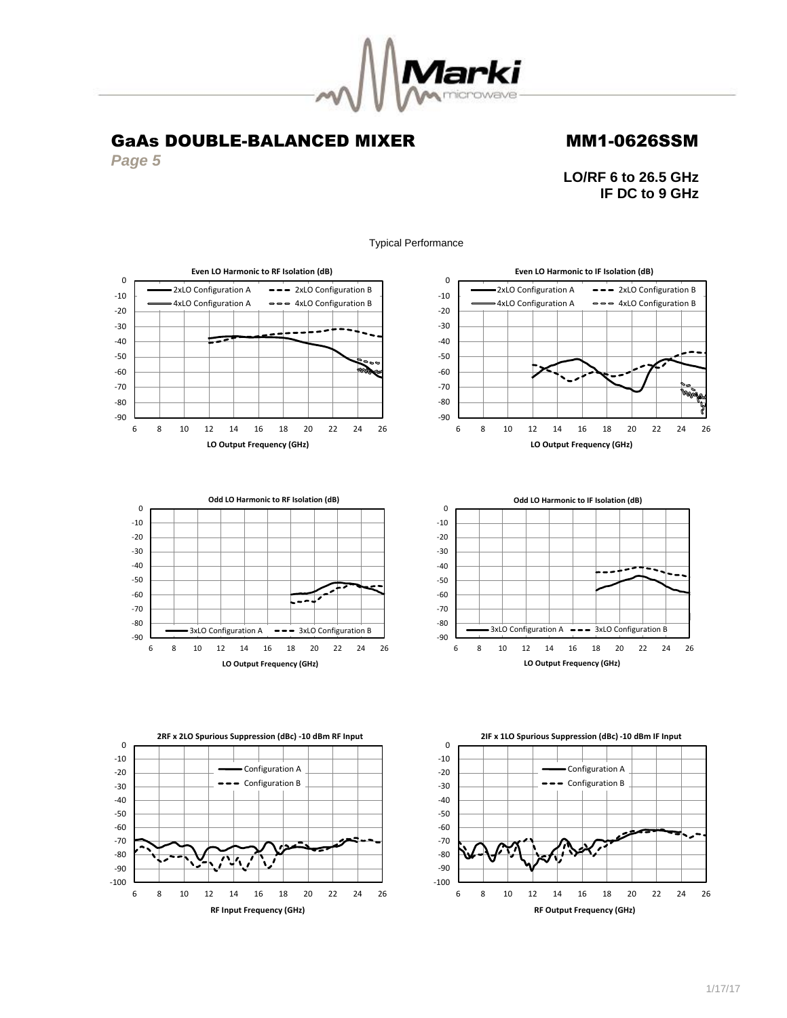

*Page 5*

-90  $-80$ -70 -60 -50 -40 -30 -20 -10 0 **LO/RF 6 to 26.5 GHz IF DC to 9 GHz**





# **Odd LO Harmonic to RF Isolation (dB)** ÷ 3xLO Configuration A --- 3xLO Configuration B 6 8 10 12 14 16 18 20 22 24 26 **LO Output Frequency (GHz)**

-90  $-80$ -70 -60 -50 -40 -30 -20 -10 0 6 8 10 12 14 16 18 20 22 24 26 **LO Output Frequency (GHz) Odd LO Harmonic to IF Isolation (dB)**  $3xLO$  Configuration A  $\rightarrow -3xLO$  Configuration B





Typical Performance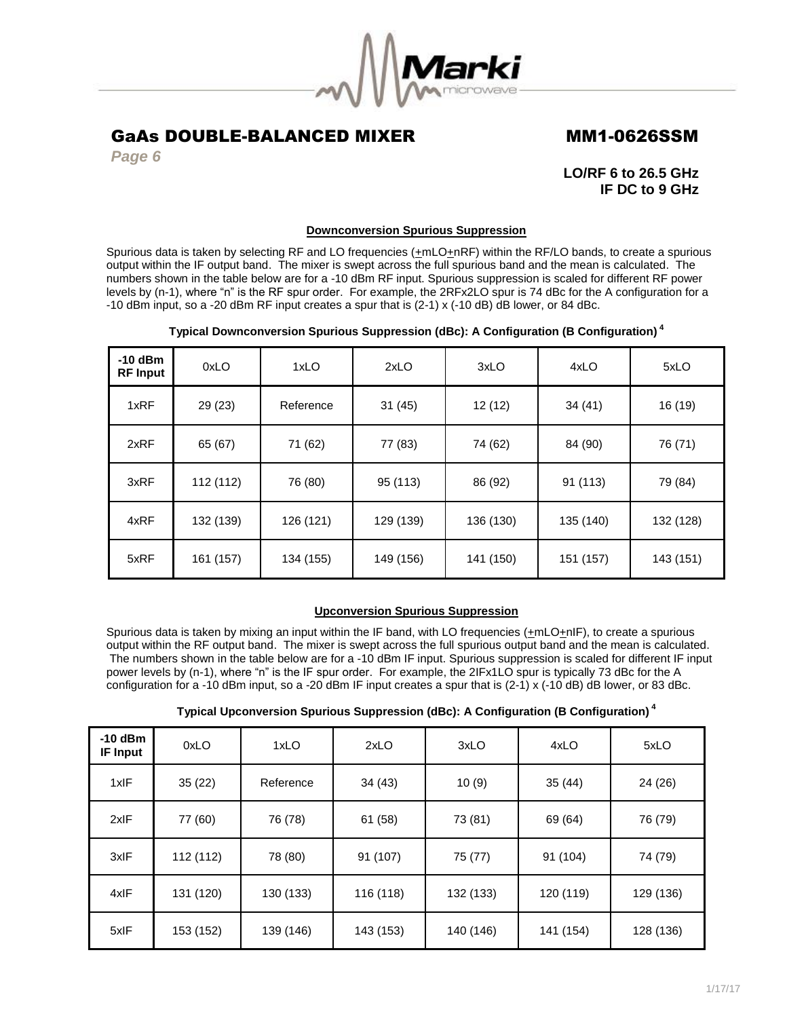

*Page 6*

**LO/RF 6 to 26.5 GHz IF DC to 9 GHz**

## **Downconversion Spurious Suppression**

Spurious data is taken by selecting RF and LO frequencies  $(+mLO+nRF)$  within the RF/LO bands, to create a spurious output within the IF output band. The mixer is swept across the full spurious band and the mean is calculated. The numbers shown in the table below are for a -10 dBm RF input. Spurious suppression is scaled for different RF power levels by (n-1), where "n" is the RF spur order. For example, the 2RFx2LO spur is 74 dBc for the A configuration for a -10 dBm input, so a -20 dBm RF input creates a spur that is (2-1) x (-10 dB) dB lower, or 84 dBc.

## **Typical Downconversion Spurious Suppression (dBc): A Configuration (B Configuration) <sup>4</sup>**

| $-10$ dBm<br><b>RF Input</b> | 0xLO      | 1xLO      | 2xLO      | 3xLO      | 4xLO      | 5xLO      |
|------------------------------|-----------|-----------|-----------|-----------|-----------|-----------|
| 1xRF                         | 29 (23)   | Reference | 31(45)    | 12(12)    | 34(41)    | 16 (19)   |
| 2xRF                         | 65 (67)   | 71 (62)   | 77 (83)   | 74 (62)   | 84 (90)   | 76 (71)   |
| 3xRF                         | 112 (112) | 76 (80)   | 95 (113)  | 86 (92)   | 91 (113)  | 79 (84)   |
| 4xRF                         | 132 (139) | 126 (121) | 129 (139) | 136 (130) | 135 (140) | 132 (128) |
| 5xRF                         | 161 (157) | 134 (155) | 149 (156) | 141 (150) | 151 (157) | 143 (151) |

## **Upconversion Spurious Suppression**

Spurious data is taken by mixing an input within the IF band, with LO frequencies (+mLO+nIF), to create a spurious output within the RF output band. The mixer is swept across the full spurious output band and the mean is calculated. The numbers shown in the table below are for a -10 dBm IF input. Spurious suppression is scaled for different IF input power levels by (n-1), where "n" is the IF spur order. For example, the 2IFx1LO spur is typically 73 dBc for the A configuration for a -10 dBm input, so a -20 dBm IF input creates a spur that is (2-1) x (-10 dB) dB lower, or 83 dBc.

| Typical Upconversion Spurious Suppression (dBc): A Configuration (B Configuration) $^\ast$ |  |  |  |
|--------------------------------------------------------------------------------------------|--|--|--|

| $-10$ dBm<br><b>IF Input</b> | 0xLO      | 1xLO      | 2xLO      | 3xLO      | 4xLO      | 5xLO      |
|------------------------------|-----------|-----------|-----------|-----------|-----------|-----------|
| 1xIF                         | 35(22)    | Reference | 34(43)    | 10(9)     | 35(44)    | 24 (26)   |
| 2xIF                         | 77 (60)   | 76 (78)   | 61 (58)   | 73 (81)   | 69 (64)   | 76 (79)   |
| 3xIF                         | 112 (112) | 78 (80)   | 91 (107)  | 75 (77)   | 91 (104)  | 74 (79)   |
| 4xIF                         | 131 (120) | 130 (133) | 116 (118) | 132 (133) | 120 (119) | 129 (136) |
| 5xIF                         | 153 (152) | 139 (146) | 143 (153) | 140 (146) | 141 (154) | 128 (136) |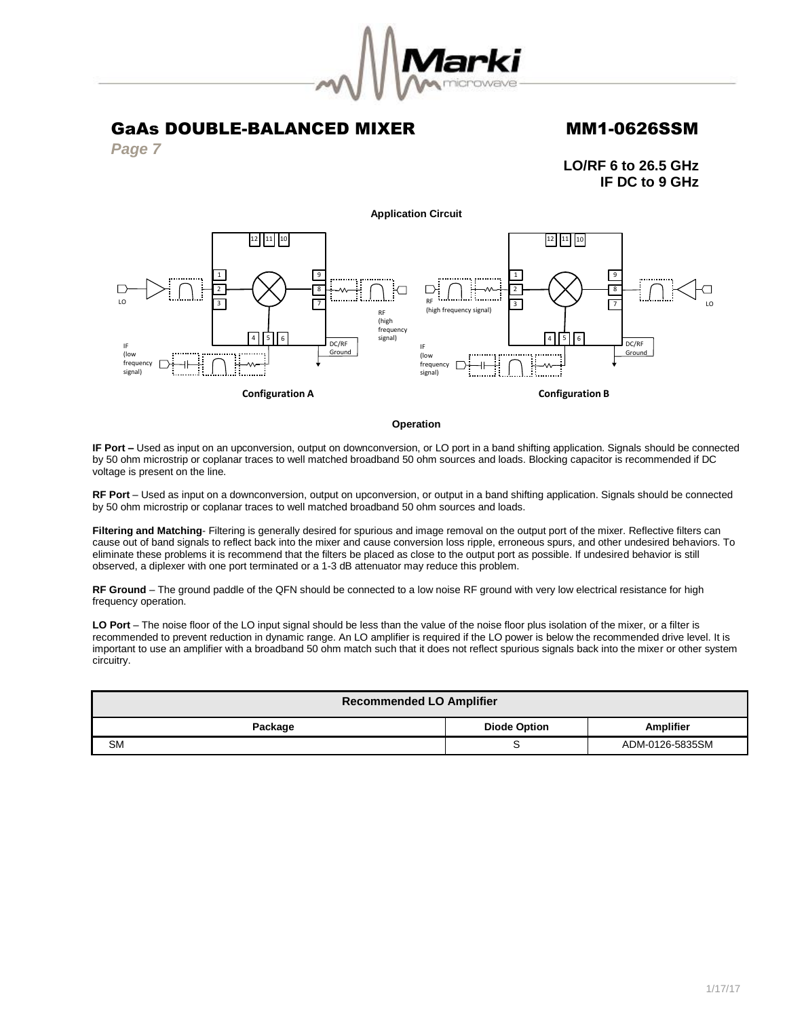

*Page 7*

**LO/RF 6 to 26.5 GHz IF DC to 9 GHz**



## **Operation**

**IF Port –** Used as input on an upconversion, output on downconversion, or LO port in a band shifting application. Signals should be connected by 50 ohm microstrip or coplanar traces to well matched broadband 50 ohm sources and loads. Blocking capacitor is recommended if DC voltage is present on the line.

**RF Port** – Used as input on a downconversion, output on upconversion, or output in a band shifting application. Signals should be connected by 50 ohm microstrip or coplanar traces to well matched broadband 50 ohm sources and loads.

**Filtering and Matching**- Filtering is generally desired for spurious and image removal on the output port of the mixer. Reflective filters can cause out of band signals to reflect back into the mixer and cause conversion loss ripple, erroneous spurs, and other undesired behaviors. To eliminate these problems it is recommend that the filters be placed as close to the output port as possible. If undesired behavior is still observed, a diplexer with one port terminated or a 1-3 dB attenuator may reduce this problem.

**RF Ground** – The ground paddle of the QFN should be connected to a low noise RF ground with very low electrical resistance for high frequency operation.

**LO Port** – The noise floor of the LO input signal should be less than the value of the noise floor plus isolation of the mixer, or a filter is recommended to prevent reduction in dynamic range. An LO amplifier is required if the LO power is below the recommended drive level. It is important to use an amplifier with a broadband 50 ohm match such that it does not reflect spurious signals back into the mixer or other system circuitry.

| <b>Recommended LO Amplifier</b>                    |   |                 |  |  |  |
|----------------------------------------------------|---|-----------------|--|--|--|
| <b>Amplifier</b><br><b>Diode Option</b><br>Package |   |                 |  |  |  |
| <b>SM</b>                                          | ີ | ADM-0126-5835SM |  |  |  |